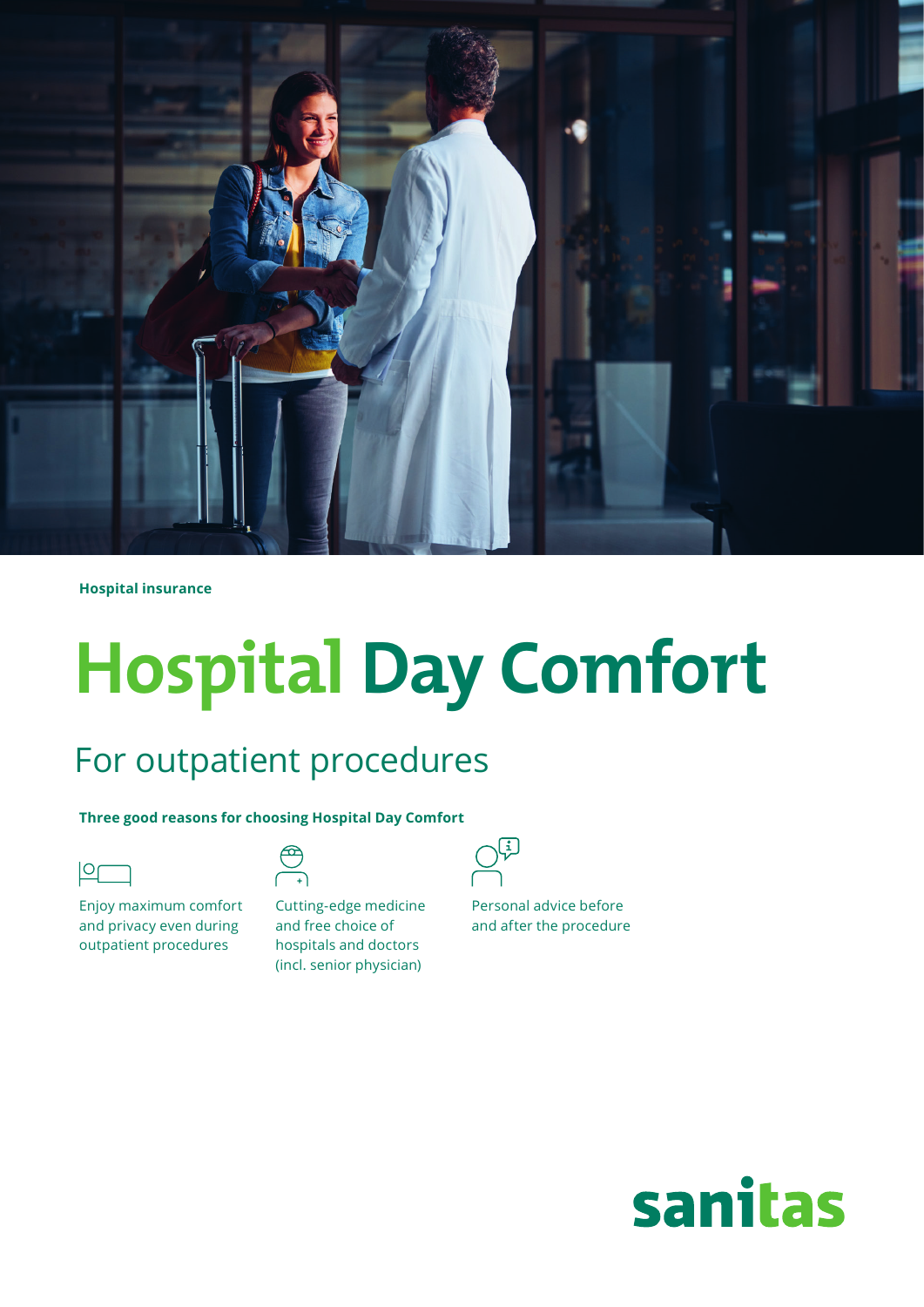

**Hospital insurance**

# **Hospital Day Comfort**

# For outpatient procedures

 $\bigoplus_{r=1}^{\infty}$ 

**Three good reasons for choosing Hospital Day Comfort**

Enjoy maximum comfort and privacy even during outpatient procedures

| Cutting-edge medicine    |  |  |
|--------------------------|--|--|
| and free choice of       |  |  |
| hospitals and doctors    |  |  |
| (incl. senior physician) |  |  |



Personal advice before and after the procedure